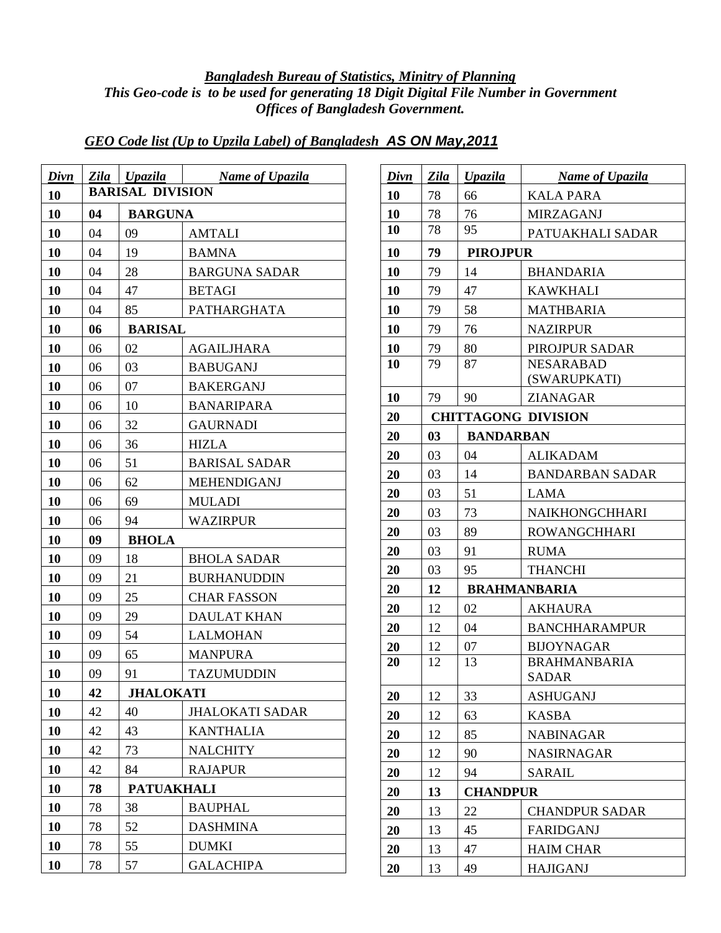## *Bangladesh Bureau of Statistics, Minitry of Planning This Geo-code is to be used for generating 18 Digit Digital File Number in Government Offices of Bangladesh Government.*

| Divn | Zila | Upazila                 | <b>Name of Upazila</b> |  |
|------|------|-------------------------|------------------------|--|
| 10   |      | <b>BARISAL DIVISION</b> |                        |  |
| 10   | 04   | <b>BARGUNA</b>          |                        |  |
| 10   | 04   | 09                      | AMTALI                 |  |
| 10   | 04   | 19                      | <b>BAMNA</b>           |  |
| 10   | 04   | 28                      | <b>BARGUNA SADAR</b>   |  |
| 10   | 04   | 47                      | <b>BETAGI</b>          |  |
| 10   | 04   | 85                      | <b>PATHARGHATA</b>     |  |
| 10   | 06   | <b>BARISAL</b>          |                        |  |
| 10   | 06   | 02                      | <b>AGAILJHARA</b>      |  |
| 10   | 06   | 03                      | <b>BABUGANJ</b>        |  |
| 10   | 06   | 07                      | <b>BAKERGANJ</b>       |  |
| 10   | 06   | 10                      | <b>BANARIPARA</b>      |  |
| 10   | 06   | 32                      | <b>GAURNADI</b>        |  |
| 10   | 06   | 36                      | <b>HIZLA</b>           |  |
| 10   | 06   | 51                      | <b>BARISAL SADAR</b>   |  |
| 10   | 06   | 62                      | MEHENDIGANJ            |  |
| 10   | 06   | 69                      | <b>MULADI</b>          |  |
| 10   | 06   | 94                      | <b>WAZIRPUR</b>        |  |
| 10   | 09   | <b>BHOLA</b>            |                        |  |
| 10   | 09   | 18                      | <b>BHOLA SADAR</b>     |  |
| 10   | 09   | 21                      | <b>BURHANUDDIN</b>     |  |
| 10   | 09   | 25                      | <b>CHAR FASSON</b>     |  |
| 10   | 09   | 29                      | <b>DAULAT KHAN</b>     |  |
| 10   | 09   | 54                      | <b>LALMOHAN</b>        |  |
| 10   | 09   | 65                      | <b>MANPURA</b>         |  |
| 10   | 09   | 91                      | <b>TAZUMUDDIN</b>      |  |
| 10   | 42   | <b>JHALOKATI</b>        |                        |  |
| 10   | 42   | 40                      | <b>JHALOKATI SADAR</b> |  |
| 10   | 42   | 43                      | <b>KANTHALIA</b>       |  |
| 10   | 42   | 73                      | <b>NALCHITY</b>        |  |
| 10   | 42   | 84                      | <b>RAJAPUR</b>         |  |
| 10   | 78   | <b>PATUAKHALI</b>       |                        |  |
| 10   | 78   | 38                      | <b>BAUPHAL</b>         |  |
| 10   | 78   | 52                      | <b>DASHMINA</b>        |  |
| 10   | 78   | 55                      | <b>DUMKI</b>           |  |
| 10   | 78   | 57                      | <b>GALACHIPA</b>       |  |

## *GEO Code list (Up to Upzila Label) of Bangladesh AS ON May,2011*

| Divn      | Zila | Upazila          | <b>Name of Upazila</b>              |
|-----------|------|------------------|-------------------------------------|
| 10        | 78   | 66               | <b>KALA PARA</b>                    |
| 10        | 78   | 76               | MIRZAGANJ                           |
| <b>10</b> | 78   | 95               | PATUAKHALI SADAR                    |
| 10        | 79   | <b>PIROJPUR</b>  |                                     |
| 10        | 79   | 14               | <b>BHANDARIA</b>                    |
| 10        | 79   | 47               | KAWKHALI                            |
| 10        | 79   | 58               | <b>MATHBARIA</b>                    |
| 10        | 79   | 76               | <b>NAZIRPUR</b>                     |
| 10        | 79   | 80               | PIROJPUR SADAR                      |
| 10        | 79   | 87               | <b>NESARABAD</b><br>(SWARUPKATI)    |
| <b>10</b> | 79   | 90               | ZIANAGAR                            |
| 20        |      |                  | <b>CHITTAGONG DIVISION</b>          |
| 20        | 03   | <b>BANDARBAN</b> |                                     |
| 20        | 03   | 04               | <b>ALIKADAM</b>                     |
| 20        | 03   | 14               | <b>BANDARBAN SADAR</b>              |
| 20        | 03   | 51               | LAMA                                |
| 20        | 03   | 73               | <b>NAIKHONGCHHARI</b>               |
| 20        | 03   | 89               | <b>ROWANGCHHARI</b>                 |
| 20        | 03   | 91               | <b>RUMA</b>                         |
| 20        | 03   | 95               | <b>THANCHI</b>                      |
| 20        | 12   |                  | <b>BRAHMANBARIA</b>                 |
| 20        | 12   | 02               | AKHAURA                             |
| 20        | 12   | 04               | <b>BANCHHARAMPUR</b>                |
| 20        | 12   | 07               | <b>BIJOYNAGAR</b>                   |
| 20        | 12   | 13               | <b>BRAHMANBARIA</b><br><b>SADAR</b> |
| 20        | 12   | 33               | <b>ASHUGANJ</b>                     |
| 20        | 12   | 63               | <b>KASBA</b>                        |
| 20        | 12   | 85               | <b>NABINAGAR</b>                    |
| 20        | 12   | 90               | <b>NASIRNAGAR</b>                   |
| 20        | 12   | 94               | <b>SARAIL</b>                       |
| 20        | 13   | <b>CHANDPUR</b>  |                                     |
| 20        | 13   | 22               | <b>CHANDPUR SADAR</b>               |
| 20        | 13   | 45               | <b>FARIDGANJ</b>                    |
| 20        | 13   | 47               | <b>HAIM CHAR</b>                    |
| 20        | 13   | 49               | <b>HAJIGANJ</b>                     |
|           |      |                  |                                     |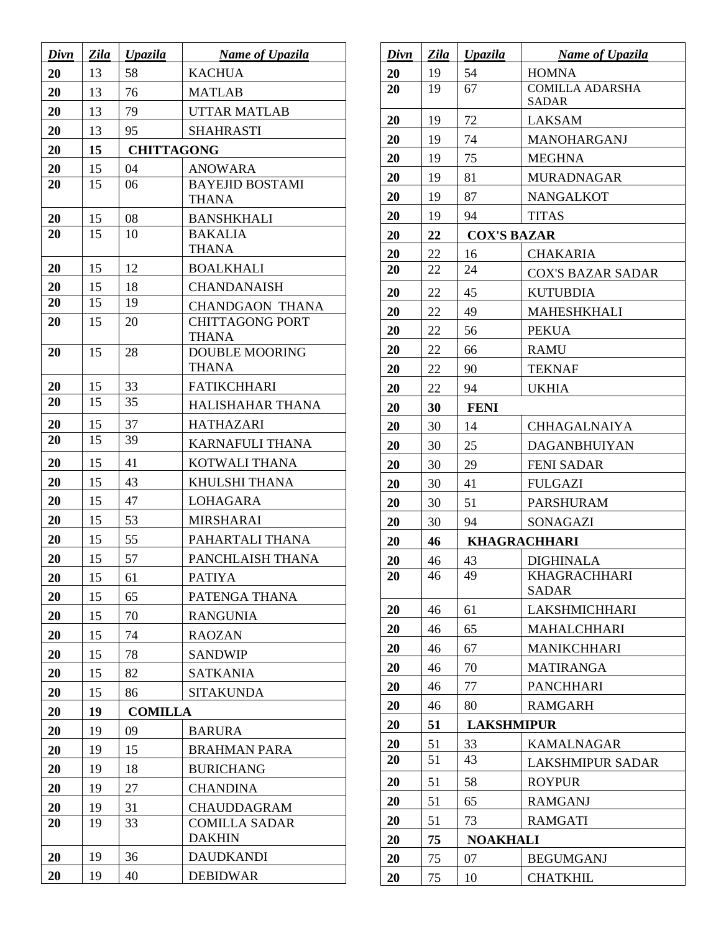| Divn | Zila | <u>Upazila</u>    | <b>Name of Upazila</b>                 |
|------|------|-------------------|----------------------------------------|
| 20   | 13   | 58                | <b>KACHUA</b>                          |
| 20   | 13   | 76                | <b>MATLAB</b>                          |
| 20   | 13   | 79                | <b>UTTAR MATLAB</b>                    |
| 20   | 13   | 95                | SHAHRASTI                              |
| 20   | 15   | <b>CHITTAGONG</b> |                                        |
| 20   | 15   | 04                | <b>ANOWARA</b>                         |
| 20   | 15   | 06                | <b>BAYEJID BOSTAMI</b><br><b>THANA</b> |
| 20   | 15   | 08                | <b>BANSHKHALI</b>                      |
| 20   | 15   | 10                | <b>BAKALIA</b><br><b>THANA</b>         |
| 20   | 15   | 12                | <b>BOALKHALI</b>                       |
| 20   | 15   | 18                | <b>CHANDANAISH</b>                     |
| 20   | 15   | 19                | <b>CHANDGAON THANA</b>                 |
| 20   | 15   | 20                | <b>CHITTAGONG PORT</b><br><b>THANA</b> |
| 20   | 15   | 28                | <b>DOUBLE MOORING</b><br><b>THANA</b>  |
| 20   | 15   | 33                | <b>FATIKCHHARI</b>                     |
| 20   | 15   | 35                | <b>HALISHAHAR THANA</b>                |
| 20   | 15   | 37                | <b>HATHAZARI</b>                       |
| 20   | 15   | 39                | <b>KARNAFULI THANA</b>                 |
| 20   | 15   | 41                | KOTWALI THANA                          |
| 20   | 15   | 43                | KHULSHI THANA                          |
| 20   | 15   | 47                | LOHAGARA                               |
| 20   | 15   | 53                | <b>MIRSHARAI</b>                       |
| 20   | 15   | 55                | PAHARTALI THANA                        |
| 20   | 15   | 57                | PANCHLAISH THANA                       |
| 20   | 15   | 61                | <b>PATIYA</b>                          |
| 20   | 15   | 65                | PATENGA THANA                          |
| 20   | 15   | 70                | <b>RANGUNIA</b>                        |
| 20   | 15   | 74                | <b>RAOZAN</b>                          |
| 20   | 15   | 78                | <b>SANDWIP</b>                         |
| 20   | 15   | 82                | <b>SATKANIA</b>                        |
| 20   | 15   | 86                | <b>SITAKUNDA</b>                       |
| 20   | 19   | <b>COMILLA</b>    |                                        |
| 20   | 19   | 09                | <b>BARURA</b>                          |
| 20   | 19   | 15                | <b>BRAHMAN PARA</b>                    |
| 20   | 19   | 18                | <b>BURICHANG</b>                       |
| 20   | 19   | 27                | <b>CHANDINA</b>                        |
| 20   | 19   | 31                | <b>CHAUDDAGRAM</b>                     |
| 20   | 19   | 33                | <b>COMILLA SADAR</b><br><b>DAKHIN</b>  |
| 20   | 19   | 36                | <b>DAUDKANDI</b>                       |
| 20   | 19   | 40                | <b>DEBIDWAR</b>                        |

| Divn | Zila | <b>Upazila</b>     | <b>Name of Upazila</b>                 |
|------|------|--------------------|----------------------------------------|
| 20   | 19   | 54                 | <b>HOMNA</b>                           |
| 20   | 19   | 67                 | <b>COMILLA ADARSHA</b><br><b>SADAR</b> |
| 20   | 19   | 72                 | <b>LAKSAM</b>                          |
| 20   | 19   | 74                 | <b>MANOHARGANJ</b>                     |
| 20   | 19   | 75                 | <b>MEGHNA</b>                          |
| 20   | 19   | 81                 | <b>MURADNAGAR</b>                      |
| 20   | 19   | 87                 | <b>NANGALKOT</b>                       |
| 20   | 19   | 94                 | <b>TITAS</b>                           |
| 20   | 22   | <b>COX'S BAZAR</b> |                                        |
| 20   | 22   | 16                 | <b>CHAKARIA</b>                        |
| 20   | 22   | 24                 | <b>COX'S BAZAR SADAR</b>               |
| 20   | 22   | 45                 | <b>KUTUBDIA</b>                        |
| 20   | 22   | 49                 | <b>MAHESHKHALI</b>                     |
| 20   | 22   | 56                 | <b>PEKUA</b>                           |
| 20   | 22   | 66                 | <b>RAMU</b>                            |
| 20   | 22   | 90                 | <b>TEKNAF</b>                          |
| 20   | 22   | 94                 | <b>UKHIA</b>                           |
| 20   | 30   | <b>FENI</b>        |                                        |
| 20   | 30   | 14                 | <b>CHHAGALNAIYA</b>                    |
| 20   | 30   | 25                 | <b>DAGANBHUIYAN</b>                    |
| 20   | 30   | 29                 | <b>FENI SADAR</b>                      |
| 20   | 30   | 41                 | <b>FULGAZI</b>                         |
| 20   | 30   | 51                 | <b>PARSHURAM</b>                       |
| 20   | 30   | 94                 | SONAGAZI                               |
| 20   | 46   |                    | <b>KHAGRACHHARI</b>                    |
| 20   | 46   | 43                 | DIGHINALA                              |
| 20   | 46   | 49                 | KHAGRACHHARI<br><b>SADAR</b>           |
| 20   | 46   | 61                 | <b>LAKSHMICHHARI</b>                   |
| 20   | 46   | 65                 | <b>MAHALCHHARI</b>                     |
| 20   | 46   | 67                 | <b>MANIKCHHARI</b>                     |
| 20   | 46   | 70                 | <b>MATIRANGA</b>                       |
| 20   | 46   | 77                 | <b>PANCHHARI</b>                       |
| 20   | 46   | 80                 | <b>RAMGARH</b>                         |
| 20   | 51   | <b>LAKSHMIPUR</b>  |                                        |
| 20   | 51   | 33                 | <b>KAMALNAGAR</b>                      |
| 20   | 51   | 43                 | <b>LAKSHMIPUR SADAR</b>                |
| 20   | 51   | 58                 | <b>ROYPUR</b>                          |
| 20   | 51   | 65                 | <b>RAMGANJ</b>                         |
| 20   | 51   | 73                 | <b>RAMGATI</b>                         |
| 20   | 75   | <b>NOAKHALI</b>    |                                        |
| 20   | 75   | 07                 | <b>BEGUMGANJ</b>                       |
| 20   | 75   | 10                 | <b>CHATKHIL</b>                        |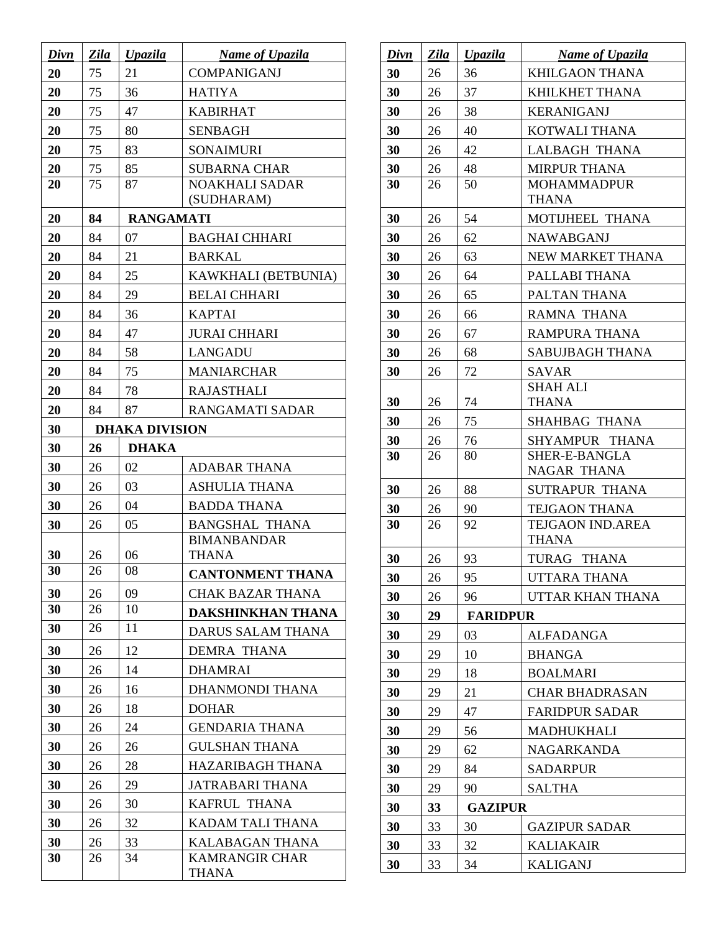| Divn | Zila | <b>Upazila</b>        | <b>Name of Upazila</b>             |
|------|------|-----------------------|------------------------------------|
| 20   | 75   | 21                    | <b>COMPANIGANJ</b>                 |
| 20   | 75   | 36                    | <b>HATIYA</b>                      |
| 20   | 75   | 47                    | <b>KABIRHAT</b>                    |
| 20   | 75   | 80                    | <b>SENBAGH</b>                     |
| 20   | 75   | 83                    | <b>SONAIMURI</b>                   |
| 20   | 75   | 85                    | <b>SUBARNA CHAR</b>                |
| 20   | 75   | 87                    | <b>NOAKHALI SADAR</b>              |
|      |      |                       | (SUDHARAM)                         |
| 20   | 84   | <b>RANGAMATI</b>      |                                    |
| 20   | 84   | 07                    | <b>BAGHAI CHHARI</b>               |
| 20   | 84   | 21                    | <b>BARKAL</b>                      |
| 20   | 84   | 25                    | KAWKHALI (BETBUNIA)                |
| 20   | 84   | 29                    | <b>BELAI CHHARI</b>                |
| 20   | 84   | 36                    | <b>KAPTAI</b>                      |
| 20   | 84   | 47                    | <b>JURAI CHHARI</b>                |
| 20   | 84   | 58                    | <b>LANGADU</b>                     |
| 20   | 84   | 75                    | <b>MANIARCHAR</b>                  |
| 20   | 84   | 78                    | <b>RAJASTHALI</b>                  |
| 20   | 84   | 87                    | <b>RANGAMATI SADAR</b>             |
| 30   |      | <b>DHAKA DIVISION</b> |                                    |
| 30   | 26   | <b>DHAKA</b>          |                                    |
| 30   | 26   | 02                    | <b>ADABAR THANA</b>                |
| 30   | 26   | 03                    | <b>ASHULIA THANA</b>               |
| 30   | 26   | 04                    | <b>BADDA THANA</b>                 |
| 30   | 26   | 05                    | <b>BANGSHAL THANA</b>              |
| 30   | 26   | 06                    | <b>BIMANBANDAR</b><br><b>THANA</b> |
| 30   | 26   | 08                    | <b>CANTONMENT THANA</b>            |
| 30   | 26   | 09                    | <b>CHAK BAZAR THANA</b>            |
| 30   | 26   | 10                    | <b>DAKSHINKHAN THANA</b>           |
| 30   | 26   | 11                    | DARUS SALAM THANA                  |
| 30   | 26   | 12                    | <b>DEMRA THANA</b>                 |
| 30   | 26   | 14                    | <b>DHAMRAI</b>                     |
| 30   | 26   | 16                    | <b>DHANMONDI THANA</b>             |
| 30   | 26   | 18                    | <b>DOHAR</b>                       |
| 30   | 26   | 24                    | <b>GENDARIA THANA</b>              |
| 30   | 26   | 26                    | <b>GULSHAN THANA</b>               |
| 30   | 26   | 28                    | <b>HAZARIBAGH THANA</b>            |
| 30   | 26   | 29                    | <b>JATRABARI THANA</b>             |
| 30   | 26   | 30                    | <b>KAFRUL THANA</b>                |
| 30   | 26   | 32                    | KADAM TALI THANA                   |
| 30   | 26   | 33                    | <b>KALABAGAN THANA</b>             |
| 30   | 26   | 34                    | <b>KAMRANGIR CHAR</b>              |
|      |      |                       | <b>THANA</b>                       |

| Divn | Zila | <b>Upazila</b>  | <b>Name of Upazila</b>                  |
|------|------|-----------------|-----------------------------------------|
| 30   | 26   | 36              | <b>KHILGAON THANA</b>                   |
| 30   | 26   | 37              | KHILKHET THANA                          |
| 30   | 26   | 38              | KERANIGANJ                              |
| 30   | 26   | 40              | KOTWALI THANA                           |
| 30   | 26   | 42              | <b>LALBAGH THANA</b>                    |
| 30   | 26   | 48              | <b>MIRPUR THANA</b>                     |
| 30   | 26   | 50              | <b>MOHAMMADPUR</b><br><b>THANA</b>      |
| 30   | 26   | 54              | MOTIJHEEL THANA                         |
| 30   | 26   | 62              | NAWABGANJ                               |
| 30   | 26   | 63              | NEW MARKET THANA                        |
| 30   | 26   | 64              | PALLABI THANA                           |
| 30   | 26   | 65              | PALTAN THANA                            |
| 30   | 26   | 66              | RAMNA THANA                             |
| 30   | 26   | 67              | <b>RAMPURA THANA</b>                    |
| 30   | 26   | 68              | <b>SABUJBAGH THANA</b>                  |
| 30   | 26   | 72              | SAVAR                                   |
| 30   | 26   | 74              | <b>SHAH ALI</b><br><b>THANA</b>         |
| 30   | 26   | 75              | <b>SHAHBAG THANA</b>                    |
| 30   | 26   | 76              | SHYAMPUR THANA                          |
| 30   | 26   | 80              | SHER-E-BANGLA<br><b>NAGAR THANA</b>     |
| 30   | 26   | 88              | <b>SUTRAPUR THANA</b>                   |
| 30   | 26   | 90              | <b>TEJGAON THANA</b>                    |
| 30   | 26   | 92              | <b>TEJGAON IND.AREA</b><br><b>THANA</b> |
| 30   | 26   | 93              | TURAG THANA                             |
| 30   | 26   | 95              | UTTARA THANA                            |
| 30   | 26   | 96              | UTTAR KHAN THANA                        |
| 30   | 29   | <b>FARIDPUR</b> |                                         |
| 30   | 29   | 03              | <b>ALFADANGA</b>                        |
| 30   | 29   | 10              | <b>BHANGA</b>                           |
| 30   | 29   | 18              | <b>BOALMARI</b>                         |
| 30   | 29   | 21              | <b>CHAR BHADRASAN</b>                   |
| 30   | 29   | 47              | <b>FARIDPUR SADAR</b>                   |
| 30   | 29   | 56              | MADHUKHALI                              |
| 30   | 29   | 62              | <b>NAGARKANDA</b>                       |
| 30   | 29   | 84              | <b>SADARPUR</b>                         |
| 30   | 29   | 90              | <b>SALTHA</b>                           |
| 30   | 33   | <b>GAZIPUR</b>  |                                         |
| 30   | 33   | 30              | <b>GAZIPUR SADAR</b>                    |
| 30   | 33   | 32              | <b>KALIAKAIR</b>                        |
| 30   | 33   | 34              | <b>KALIGANJ</b>                         |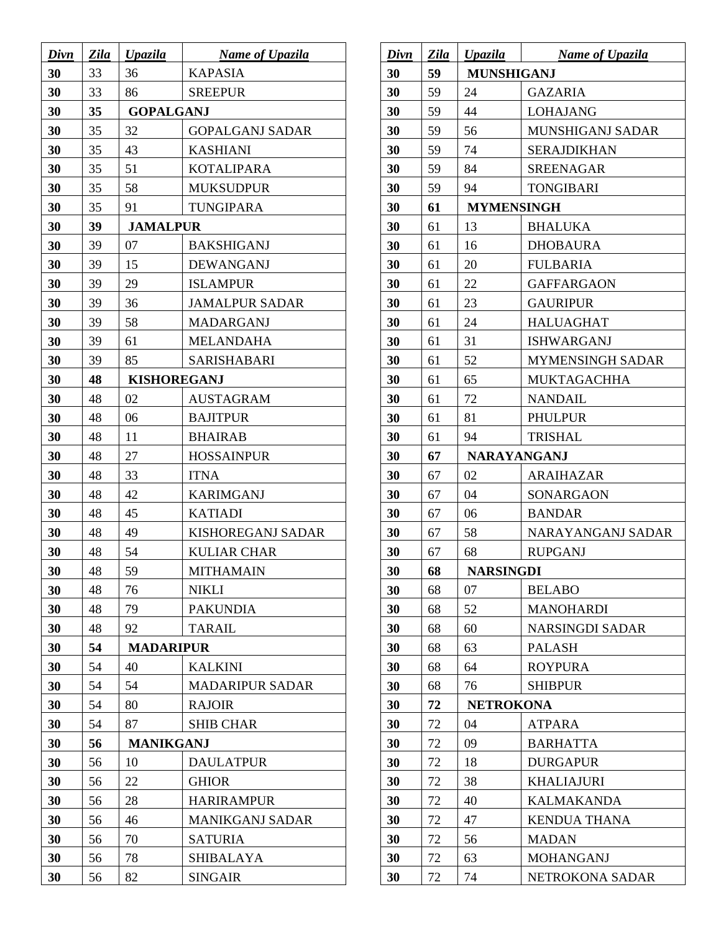| Divn | Zila | <u>Upazila</u>     | <b>Name of Upazila</b>   |
|------|------|--------------------|--------------------------|
| 30   | 33   | 36                 | <b>KAPASIA</b>           |
| 30   | 33   | 86                 | <b>SREEPUR</b>           |
| 30   | 35   | <b>GOPALGANJ</b>   |                          |
| 30   | 35   | 32                 | <b>GOPALGANJ SADAR</b>   |
| 30   | 35   | 43                 | KASHIANI                 |
| 30   | 35   | 51                 | <b>KOTALIPARA</b>        |
| 30   | 35   | 58                 | <b>MUKSUDPUR</b>         |
| 30   | 35   | 91                 | <b>TUNGIPARA</b>         |
| 30   | 39   | <b>JAMALPUR</b>    |                          |
| 30   | 39   | 07                 | BAKSHIGANJ               |
| 30   | 39   | 15                 | DEWANGANJ                |
| 30   | 39   | 29                 | <b>ISLAMPUR</b>          |
| 30   | 39   | 36                 | <b>JAMALPUR SADAR</b>    |
| 30   | 39   | 58                 | <b>MADARGANJ</b>         |
| 30   | 39   | 61                 | <b>MELANDAHA</b>         |
| 30   | 39   | 85                 | SARISHABARI              |
| 30   | 48   | <b>KISHOREGANJ</b> |                          |
| 30   | 48   | 02                 | <b>AUSTAGRAM</b>         |
| 30   | 48   | 06                 | <b>BAJITPUR</b>          |
| 30   | 48   | 11                 | <b>BHAIRAB</b>           |
| 30   | 48   | 27                 | <b>HOSSAINPUR</b>        |
| 30   | 48   | 33                 | <b>ITNA</b>              |
| 30   | 48   | 42                 | <b>KARIMGANJ</b>         |
| 30   | 48   | 45                 | <b>KATIADI</b>           |
| 30   | 48   | 49                 | <b>KISHOREGANJ SADAR</b> |
| 30   | 48   | 54                 | <b>KULIAR CHAR</b>       |
| 30   | 48   | 59                 | <b>MITHAMAIN</b>         |
| 30   | 48   | 76                 | <b>NIKLI</b>             |
| 30   | 48   | 79                 | <b>PAKUNDIA</b>          |
| 30   | 48   | 92                 | <b>TARAIL</b>            |
| 30   | 54   | <b>MADARIPUR</b>   |                          |
| 30   | 54   | 40                 | <b>KALKINI</b>           |
| 30   | 54   | 54                 | <b>MADARIPUR SADAR</b>   |
| 30   | 54   | 80                 | <b>RAJOIR</b>            |
| 30   | 54   | 87                 | <b>SHIB CHAR</b>         |
| 30   | 56   | <b>MANIKGANJ</b>   |                          |
| 30   | 56   | 10                 | <b>DAULATPUR</b>         |
| 30   | 56   | 22                 | <b>GHIOR</b>             |
| 30   | 56   | 28                 | <b>HARIRAMPUR</b>        |
| 30   | 56   | 46                 | <b>MANIKGANJ SADAR</b>   |
| 30   | 56   | 70                 | <b>SATURIA</b>           |
| 30   | 56   | 78                 | <b>SHIBALAYA</b>         |
| 30   | 56   | 82                 | <b>SINGAIR</b>           |

| Divn | <u>Zila</u> | Upazila            | <b>Name of Upazila</b> |
|------|-------------|--------------------|------------------------|
| 30   | 59          | <b>MUNSHIGANJ</b>  |                        |
| 30   | 59          | 24                 | <b>GAZARIA</b>         |
| 30   | 59          | 44                 | LOHAJANG               |
| 30   | 59          | 56                 | MUNSHIGANJ SADAR       |
| 30   | 59          | 74                 | <b>SERAJDIKHAN</b>     |
| 30   | 59          | 84                 | <b>SREENAGAR</b>       |
| 30   | 59          | 94                 | <b>TONGIBARI</b>       |
| 30   | 61          | <b>MYMENSINGH</b>  |                        |
| 30   | 61          | 13                 | <b>BHALUKA</b>         |
| 30   | 61          | 16                 | <b>DHOBAURA</b>        |
| 30   | 61          | 20                 | <b>FULBARIA</b>        |
| 30   | 61          | 22                 | <b>GAFFARGAON</b>      |
| 30   | 61          | 23                 | <b>GAURIPUR</b>        |
| 30   | 61          | 24                 | <b>HALUAGHAT</b>       |
| 30   | 61          | 31                 | <b>ISHWARGANJ</b>      |
| 30   | 61          | 52                 | MYMENSINGH SADAR       |
| 30   | 61          | 65                 | <b>MUKTAGACHHA</b>     |
| 30   | 61          | 72                 | <b>NANDAIL</b>         |
| 30   | 61          | 81                 | <b>PHULPUR</b>         |
| 30   | 61          | 94                 | <b>TRISHAL</b>         |
| 30   | 67          | <b>NARAYANGANJ</b> |                        |
| 30   | 67          | 02                 | ARAIHAZAR              |
| 30   | 67          | 04                 | SONARGAON              |
| 30   | 67          | 06                 | <b>BANDAR</b>          |
| 30   | 67          | 58                 | NARAYANGANJ SADAR      |
| 30   | 67          | 68                 | <b>RUPGANJ</b>         |
| 30   | 68          | NARSINGDI          |                        |
| 30   | 68          | 07                 | <b>BELABO</b>          |
| 30   | 68          | 52                 | <b>MANOHARDI</b>       |
| 30   | 68          | 60                 | <b>NARSINGDI SADAR</b> |
| 30   | 68          | 63                 | <b>PALASH</b>          |
| 30   | 68          | 64                 | <b>ROYPURA</b>         |
| 30   | 68          | 76                 | <b>SHIBPUR</b>         |
| 30   | 72          | <b>NETROKONA</b>   |                        |
| 30   | 72          | 04                 | <b>ATPARA</b>          |
| 30   | 72          | 09                 | <b>BARHATTA</b>        |
| 30   | 72          | 18                 | <b>DURGAPUR</b>        |
| 30   | 72          | 38                 | <b>KHALIAJURI</b>      |
| 30   | 72          | 40                 | <b>KALMAKANDA</b>      |
| 30   | 72          | 47                 | <b>KENDUA THANA</b>    |
| 30   | 72          | 56                 | <b>MADAN</b>           |
| 30   | 72          | 63                 | <b>MOHANGANJ</b>       |
| 30   | 72          | 74                 | NETROKONA SADAR        |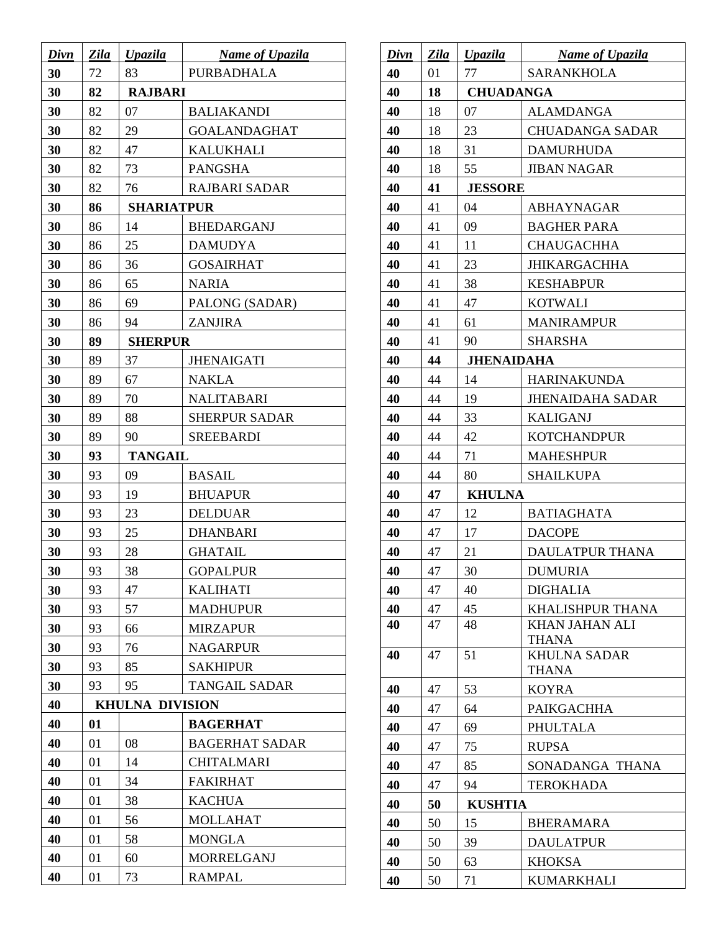| Divn | Zila | <b>Upazila</b>         | <b>Name of Upazila</b> |
|------|------|------------------------|------------------------|
| 30   | 72   | 83                     | <b>PURBADHALA</b>      |
| 30   | 82   | <b>RAJBARI</b>         |                        |
| 30   | 82   | 07                     | <b>BALIAKANDI</b>      |
| 30   | 82   | 29                     | <b>GOALANDAGHAT</b>    |
| 30   | 82   | 47                     | <b>KALUKHALI</b>       |
| 30   | 82   | 73                     | <b>PANGSHA</b>         |
| 30   | 82   | 76                     | <b>RAJBARI SADAR</b>   |
| 30   | 86   | <b>SHARIATPUR</b>      |                        |
| 30   | 86   | 14                     | <b>BHEDARGANJ</b>      |
| 30   | 86   | 25                     | <b>DAMUDYA</b>         |
| 30   | 86   | 36                     | <b>GOSAIRHAT</b>       |
| 30   | 86   | 65                     | <b>NARIA</b>           |
| 30   | 86   | 69                     | PALONG (SADAR)         |
| 30   | 86   | 94                     | <b>ZANJIRA</b>         |
| 30   | 89   | <b>SHERPUR</b>         |                        |
| 30   | 89   | 37                     | <b>JHENAIGATI</b>      |
| 30   | 89   | 67                     | <b>NAKLA</b>           |
| 30   | 89   | 70                     | <b>NALITABARI</b>      |
| 30   | 89   | 88                     | <b>SHERPUR SADAR</b>   |
| 30   | 89   | 90                     | SREEBARDI              |
| 30   | 93   | <b>TANGAIL</b>         |                        |
| 30   | 93   | 09                     | <b>BASAIL</b>          |
| 30   | 93   | 19                     | <b>BHUAPUR</b>         |
| 30   | 93   | 23                     | <b>DELDUAR</b>         |
| 30   | 93   | 25                     | <b>DHANBARI</b>        |
| 30   | 93   | 28                     | <b>GHATAIL</b>         |
| 30   | 93   | 38                     | <b>GOPALPUR</b>        |
| 30   | 93   | 47                     | <b>KALIHATI</b>        |
| 30   | 93   | 57                     | <b>MADHUPUR</b>        |
| 30   | 93   | 66                     | <b>MIRZAPUR</b>        |
| 30   | 93   | 76                     | <b>NAGARPUR</b>        |
| 30   | 93   | 85                     | <b>SAKHIPUR</b>        |
| 30   | 93   | 95                     | <b>TANGAIL SADAR</b>   |
| 40   |      | <b>KHULNA DIVISION</b> |                        |
| 40   | 01   |                        | <b>BAGERHAT</b>        |
| 40   | 01   | 08                     | <b>BAGERHAT SADAR</b>  |
| 40   | 01   | 14                     | <b>CHITALMARI</b>      |
| 40   | 01   | 34                     | <b>FAKIRHAT</b>        |
| 40   | 01   | 38                     | <b>KACHUA</b>          |
| 40   | 01   | 56                     | <b>MOLLAHAT</b>        |
| 40   | 01   | 58                     | <b>MONGLA</b>          |
| 40   | 01   | 60                     | <b>MORRELGANJ</b>      |
| 40   | 01   | 73                     | <b>RAMPAL</b>          |

| Divn     | Zila     | <b>Upazila</b>    | <b>Name of Upazila</b>              |
|----------|----------|-------------------|-------------------------------------|
| 40       | 01       | 77                | SARANKHOLA                          |
| 40       | 18       | <b>CHUADANGA</b>  |                                     |
| 40       | 18       | 07                | <b>ALAMDANGA</b>                    |
| 40       | 18       | 23                | <b>CHUADANGA SADAR</b>              |
| 40       | 18       | 31                | <b>DAMURHUDA</b>                    |
| 40       | 18       | 55                | <b>JIBAN NAGAR</b>                  |
| 40       | 41       | <b>JESSORE</b>    |                                     |
| 40       | 41       | 04                | <b>ABHAYNAGAR</b>                   |
| 40       | 41       | 09                | <b>BAGHER PARA</b>                  |
| 40       | 41       | 11                | <b>CHAUGACHHA</b>                   |
| 40       | 41       | 23                | <b>JHIKARGACHHA</b>                 |
| 40       | 41       | 38                | <b>KESHABPUR</b>                    |
| 40       | 41       | 47                | <b>KOTWALI</b>                      |
| 40       | 41       | 61                | <b>MANIRAMPUR</b>                   |
| 40       | 41       | 90                | <b>SHARSHA</b>                      |
| 40       | 44       | <b>JHENAIDAHA</b> |                                     |
| 40       | 44       | 14                | <b>HARINAKUNDA</b>                  |
| 40       | 44       | 19                | JHENAIDAHA SADAR                    |
| 40       | 44       | 33                | <b>KALIGANJ</b>                     |
| 40       | 44       | 42                | <b>KOTCHANDPUR</b>                  |
| 40       | 44       | 71                | <b>MAHESHPUR</b>                    |
| 40       | 44       | 80                | <b>SHAILKUPA</b>                    |
| 40       | 47       | <b>KHULNA</b>     |                                     |
| 40       | 47       | 12                | <b>BATIAGHATA</b>                   |
| 40       | 47       | 17                | <b>DACOPE</b>                       |
| 40       | 47       | 21                | <b>DAULATPUR THANA</b>              |
| 40       | 47       | 30                | <b>DUMURIA</b>                      |
| 40       | 47       | 40                | <b>DIGHALIA</b>                     |
| 40       | 47       | 45                | KHALISHPUR THANA                    |
| 40       | 47       | 48                | KHAN JAHAN ALI                      |
| 40       | 47       | 51                | <b>THANA</b><br><b>KHULNA SADAR</b> |
|          |          |                   | <b>THANA</b>                        |
| 40       | 47       | 53                | <b>KOYRA</b>                        |
| 40       | 47       | 64                | <b>PAIKGACHHA</b>                   |
| 40       | 47       | 69                | PHULTALA                            |
| 40       | 47       | 75                | <b>RUPSA</b>                        |
| 40       | 47       | 85                | SONADANGA THANA                     |
| 40       | 47       | 94                | <b>TEROKHADA</b>                    |
| 40       | 50       | <b>KUSHTIA</b>    |                                     |
| 40       |          |                   | <b>BHERAMARA</b>                    |
|          |          |                   |                                     |
|          | 50       | 15                |                                     |
| 40<br>40 | 50<br>50 | 39<br>63          | DAULATPUR<br><b>KHOKSA</b>          |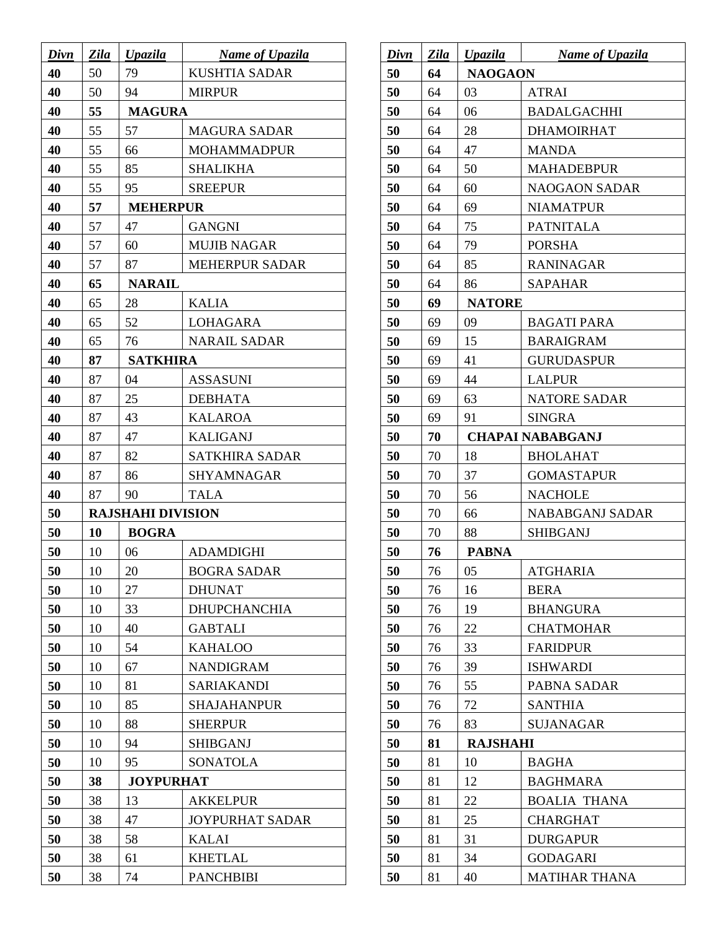| Divn | Zila | <b>Upazila</b>           | <b>Name of Upazila</b> |
|------|------|--------------------------|------------------------|
| 40   | 50   | 79                       | <b>KUSHTIA SADAR</b>   |
| 40   | 50   | 94                       | <b>MIRPUR</b>          |
| 40   | 55   | <b>MAGURA</b>            |                        |
| 40   | 55   | 57                       | <b>MAGURA SADAR</b>    |
| 40   | 55   | 66                       | <b>MOHAMMADPUR</b>     |
| 40   | 55   | 85                       | SHALIKHA               |
| 40   | 55   | 95                       | <b>SREEPUR</b>         |
| 40   | 57   | <b>MEHERPUR</b>          |                        |
| 40   | 57   | 47                       | <b>GANGNI</b>          |
| 40   | 57   | 60                       | <b>MUJIB NAGAR</b>     |
| 40   | 57   | 87                       | <b>MEHERPUR SADAR</b>  |
| 40   | 65   | <b>NARAIL</b>            |                        |
| 40   | 65   | 28                       | <b>KALIA</b>           |
| 40   | 65   | 52                       | <b>LOHAGARA</b>        |
| 40   | 65   | 76                       | <b>NARAIL SADAR</b>    |
| 40   | 87   | <b>SATKHIRA</b>          |                        |
| 40   | 87   | 04                       | ASSASUNI               |
| 40   | 87   | 25                       | <b>DEBHATA</b>         |
| 40   | 87   | 43                       | <b>KALAROA</b>         |
| 40   | 87   | 47                       | <b>KALIGANJ</b>        |
| 40   | 87   | 82                       | <b>SATKHIRA SADAR</b>  |
| 40   | 87   | 86                       | <b>SHYAMNAGAR</b>      |
| 40   | 87   | 90                       | <b>TALA</b>            |
| 50   |      | <b>RAJSHAHI DIVISION</b> |                        |
| 50   | 10   | <b>BOGRA</b>             |                        |
| 50   | 10   | 06                       | <b>ADAMDIGHI</b>       |
| 50   | 10   | 20                       | <b>BOGRA SADAR</b>     |
| 50   | 10   | 27                       | <b>DHUNAT</b>          |
| 50   | 10   | 33                       | <b>DHUPCHANCHIA</b>    |
| 50   | 10   | 40                       | <b>GABTALI</b>         |
| 50   | 10   | 54                       | <b>KAHALOO</b>         |
| 50   | 10   | 67                       | <b>NANDIGRAM</b>       |
| 50   | 10   | 81                       | <b>SARIAKANDI</b>      |
| 50   | 10   | 85                       | <b>SHAJAHANPUR</b>     |
| 50   | 10   | 88                       | <b>SHERPUR</b>         |
| 50   | 10   | 94                       | <b>SHIBGANJ</b>        |
| 50   | 10   | 95                       | <b>SONATOLA</b>        |
| 50   | 38   | <b>JOYPURHAT</b>         |                        |
| 50   | 38   | 13                       | AKKELPUR               |
| 50   | 38   | 47                       | <b>JOYPURHAT SADAR</b> |
| 50   | 38   | 58                       | <b>KALAI</b>           |
| 50   | 38   | 61                       | <b>KHETLAL</b>         |
| 50   | 38   | 74                       | <b>PANCHBIBI</b>       |

| Divn | Zila | Upazila         | <b>Name of Upazila</b>  |
|------|------|-----------------|-------------------------|
| 50   | 64   | <b>NAOGAON</b>  |                         |
| 50   | 64   | 03              | <b>ATRAI</b>            |
| 50   | 64   | 06              | <b>BADALGACHHI</b>      |
| 50   | 64   | 28              | <b>DHAMOIRHAT</b>       |
| 50   | 64   | 47              | <b>MANDA</b>            |
| 50   | 64   | 50              | <b>MAHADEBPUR</b>       |
| 50   | 64   | 60              | <b>NAOGAON SADAR</b>    |
| 50   | 64   | 69              | <b>NIAMATPUR</b>        |
| 50   | 64   | 75              | <b>PATNITALA</b>        |
| 50   | 64   | 79              | <b>PORSHA</b>           |
| 50   | 64   | 85              | <b>RANINAGAR</b>        |
| 50   | 64   | 86              | SAPAHAR                 |
| 50   | 69   | <b>NATORE</b>   |                         |
| 50   | 69   | 09              | <b>BAGATI PARA</b>      |
| 50   | 69   | 15              | <b>BARAIGRAM</b>        |
| 50   | 69   | 41              | <b>GURUDASPUR</b>       |
| 50   | 69   | 44              | <b>LALPUR</b>           |
| 50   | 69   | 63              | <b>NATORE SADAR</b>     |
| 50   | 69   | 91              | <b>SINGRA</b>           |
| 50   | 70   |                 | <b>CHAPAI NABABGANJ</b> |
| 50   | 70   | 18              | <b>BHOLAHAT</b>         |
| 50   | 70   | 37              | <b>GOMASTAPUR</b>       |
| 50   | 70   | 56              | <b>NACHOLE</b>          |
| 50   | 70   | 66              | <b>NABABGANJ SADAR</b>  |
| 50   | 70   | 88              | <b>SHIBGANJ</b>         |
| 50   | 76   | <b>PABNA</b>    |                         |
| 50   | 76   | 05              | ATGHARIA                |
| 50   | 76   | 16              | <b>BERA</b>             |
| 50   | 76   | 19              | <b>BHANGURA</b>         |
| 50   | 76   | 22              | <b>CHATMOHAR</b>        |
| 50   | 76   | 33              | <b>FARIDPUR</b>         |
| 50   | 76   | 39              | <b>ISHWARDI</b>         |
| 50   | 76   | 55              | PABNA SADAR             |
| 50   | 76   | 72              | <b>SANTHIA</b>          |
| 50   | 76   | 83              | <b>SUJANAGAR</b>        |
| 50   | 81   | <b>RAJSHAHI</b> |                         |
| 50   | 81   | 10              | <b>BAGHA</b>            |
| 50   | 81   | 12              | <b>BAGHMARA</b>         |
| 50   | 81   | 22              | <b>BOALIA THANA</b>     |
| 50   | 81   | 25              | <b>CHARGHAT</b>         |
| 50   | 81   | 31              | <b>DURGAPUR</b>         |
| 50   | 81   | 34              | <b>GODAGARI</b>         |
| 50   | 81   | 40              | <b>MATIHAR THANA</b>    |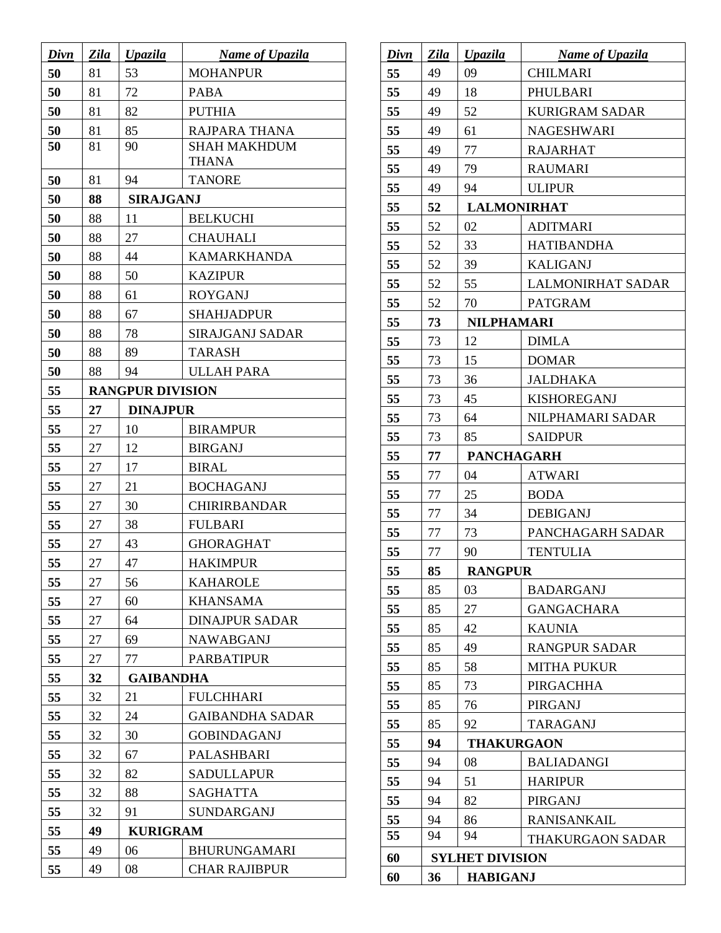| Divn                 | Zila                 | Upazila                 | <b>Name of Upazila</b>                                           |  |
|----------------------|----------------------|-------------------------|------------------------------------------------------------------|--|
| 50                   | 81                   | 53                      | <b>MOHANPUR</b>                                                  |  |
| 50                   | 81                   | 72                      | <b>PABA</b>                                                      |  |
| 50                   | 81                   | 82                      | <b>PUTHIA</b>                                                    |  |
| 50                   | 81                   | 85                      | RAJPARA THANA                                                    |  |
| 50                   | 81                   | 90                      | <b>SHAH MAKHDUM</b>                                              |  |
|                      |                      |                         | <b>THANA</b>                                                     |  |
| 50                   | 81                   | 94                      | <b>TANORE</b>                                                    |  |
| 50                   | 88                   | <b>SIRAJGANJ</b>        |                                                                  |  |
| 50                   | 88                   | 11                      | <b>BELKUCHI</b>                                                  |  |
| 50                   | 88                   | 27                      | <b>CHAUHALI</b>                                                  |  |
| 50                   | 88                   | 44                      | <b>KAMARKHANDA</b>                                               |  |
| 50                   | 88                   | 50                      | <b>KAZIPUR</b>                                                   |  |
| 50                   | 88                   | 61                      | <b>ROYGANJ</b>                                                   |  |
| 50                   | 88                   | 67                      | <b>SHAHJADPUR</b>                                                |  |
| 50                   | 88                   | 78                      | <b>SIRAJGANJ SADAR</b>                                           |  |
| 50                   | 88                   | 89                      | <b>TARASH</b>                                                    |  |
| 50                   | 88                   | 94                      | <b>ULLAH PARA</b>                                                |  |
| 55                   |                      | <b>RANGPUR DIVISION</b> |                                                                  |  |
| 55                   | 27                   | <b>DINAJPUR</b>         |                                                                  |  |
| 55                   | 27                   | 10                      | <b>BIRAMPUR</b>                                                  |  |
| 55                   | 27                   | 12                      | <b>BIRGANJ</b>                                                   |  |
| 55                   | 27                   | 17                      | <b>BIRAL</b>                                                     |  |
| 55                   | 27                   | 21                      | <b>BOCHAGANJ</b>                                                 |  |
| 55                   | 27                   | 30                      | CHIRIRBANDAR                                                     |  |
| 55                   | 27                   | 38                      | <b>FULBARI</b>                                                   |  |
| 55                   | 27                   | 43                      | <b>GHORAGHAT</b>                                                 |  |
| 55                   | 27                   | 47                      | <b>HAKIMPUR</b>                                                  |  |
| 55                   | 27                   | 56                      | <b>KAHAROLE</b>                                                  |  |
| 55                   | 27                   | 60                      | <b>KHANSAMA</b>                                                  |  |
| 55                   | 27                   | 64                      | <b>DINAJPUR SADAR</b>                                            |  |
| 55                   | 27                   | 69                      | <b>NAWABGANJ</b>                                                 |  |
| 55                   | 27                   | 77                      | <b>PARBATIPUR</b>                                                |  |
| 55                   | 32                   | <b>GAIBANDHA</b>        |                                                                  |  |
| 55                   | 32<br>32             | 21<br>24                | <b>FULCHHARI</b><br><b>GAIBANDHA SADAR</b>                       |  |
| 55<br>55             |                      |                         |                                                                  |  |
|                      | 32                   | 30                      | <b>GOBINDAGANJ</b>                                               |  |
| 55<br>55             | 32<br>32             | 67<br>82                | PALASHBARI<br><b>SADULLAPUR</b>                                  |  |
|                      |                      |                         |                                                                  |  |
| 55                   | 32                   | 88                      | <b>SAGHATTA</b>                                                  |  |
|                      |                      |                         |                                                                  |  |
|                      |                      | <b>KURIGRAM</b>         |                                                                  |  |
|                      |                      |                         |                                                                  |  |
| 55<br>55<br>55<br>55 | 32<br>49<br>49<br>49 | 91<br>06<br>08          | <b>SUNDARGANJ</b><br><b>BHURUNGAMARI</b><br><b>CHAR RAJIBPUR</b> |  |

| Divn | Zila | Upazila                | <b>Name of Upazila</b>   |
|------|------|------------------------|--------------------------|
| 55   | 49   | 09                     | <b>CHILMARI</b>          |
| 55   | 49   | 18                     | PHULBARI                 |
| 55   | 49   | 52                     | <b>KURIGRAM SADAR</b>    |
| 55   | 49   | 61                     | <b>NAGESHWARI</b>        |
| 55   | 49   | 77                     | <b>RAJARHAT</b>          |
| 55   | 49   | 79                     | <b>RAUMARI</b>           |
| 55   | 49   | 94                     | <b>ULIPUR</b>            |
| 55   | 52   | <b>LALMONIRHAT</b>     |                          |
| 55   | 52   | 02                     | <b>ADITMARI</b>          |
| 55   | 52   | 33                     | <b>HATIBANDHA</b>        |
| 55   | 52   | 39                     | <b>KALIGANJ</b>          |
| 55   | 52   | 55                     | <b>LALMONIRHAT SADAR</b> |
| 55   | 52   | 70                     | <b>PATGRAM</b>           |
| 55   | 73   | <b>NILPHAMARI</b>      |                          |
| 55   | 73   | 12                     | <b>DIMLA</b>             |
| 55   | 73   | 15                     | <b>DOMAR</b>             |
| 55   | 73   | 36                     | <b>JALDHAKA</b>          |
| 55   | 73   | 45                     | <b>KISHOREGANJ</b>       |
| 55   | 73   | 64                     | NILPHAMARI SADAR         |
| 55   | 73   | 85                     | <b>SAIDPUR</b>           |
| 55   | 77   | <b>PANCHAGARH</b>      |                          |
| 55   | 77   | 04                     | <b>ATWARI</b>            |
| 55   | 77   | 25                     | <b>BODA</b>              |
| 55   | 77   | 34                     | <b>DEBIGANJ</b>          |
| 55   | 77   | 73                     | PANCHAGARH SADAR         |
| 55   | 77   | 90                     | <b>TENTULIA</b>          |
| 55   | 85   | <b>RANGPUR</b>         |                          |
| 55   | 85   | 03                     | <b>BADARGANJ</b>         |
| 55   | 85   | 27                     | <b>GANGACHARA</b>        |
| 55   | 85   | 42                     | <b>KAUNIA</b>            |
| 55   | 85   | 49                     | <b>RANGPUR SADAR</b>     |
| 55   | 85   | 58                     | <b>MITHA PUKUR</b>       |
| 55   | 85   | 73                     | <b>PIRGACHHA</b>         |
| 55   | 85   | 76                     | PIRGANJ                  |
| 55   | 85   | 92                     | <b>TARAGANJ</b>          |
| 55   | 94   | <b>THAKURGAON</b>      |                          |
| 55   | 94   | 08                     | <b>BALIADANGI</b>        |
| 55   | 94   | 51                     | <b>HARIPUR</b>           |
| 55   | 94   | 82                     | PIRGANJ                  |
| 55   | 94   | 86                     | RANISANKAIL              |
| 55   | 94   | 94                     | <b>THAKURGAON SADAR</b>  |
| 60   |      | <b>SYLHET DIVISION</b> |                          |
| 60   | 36   | <b>HABIGANJ</b>        |                          |